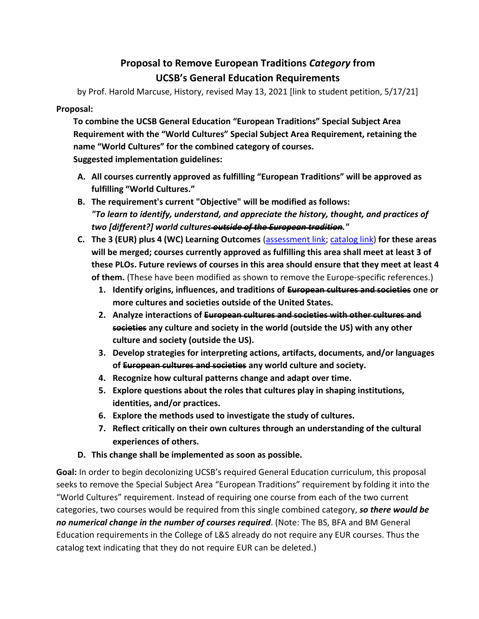## **Proposal to Remove European Traditions** *Category* **from UCSB's General Education Requirements**

by Prof. Harold Marcuse, History, revised May 13, 2021 [link to student petition, 5/17/21]

## **Proposal:**

**To combine the UCSB General Education "European Traditions" Special Subject Area Requirement with the "World Cultures" Special Subject Area Requirement, retaining the name "World Cultures" for the combined category of courses. Suggested implementation guidelines:**

- **A. All courses currently approved as fulfilling "European Traditions" will be approved as fulfilling "World Cultures."**
- **B. The requirement's current "Objective" will be modified as follows:**  *"To learn to identify, understand, and appreciate the history, thought, and practices of two [different?] world cultures outside of the European tradition."*
- **C. The 3 (EUR) plus 4 (WC) Learning Outcomes** [\(assessment link;](https://assessment.ucsb.edu/ge/subject-areas) [catalog link\)](https://my.sa.ucsb.edu/catalog/Current/UndergraduateEducation/SpecialSubjectAreaRequirements.aspx) **for these areas will be merged; courses currently approved as fulfilling this area shall meet at least 3 of these PLOs. Future reviews of courses in this area should ensure that they meet at least 4 of them.** (These have been modified as shown to remove the Europe-specific references.)
	- **1. Identify origins, influences, and traditions of European cultures and societies one or more cultures and societies outside of the United States.**
	- **2. Analyze interactions of European cultures and societies with other cultures and societies any culture and society in the world (outside the US) with any other culture and society (outside the US).**
	- **3. Develop strategies for interpreting actions, artifacts, documents, and/or languages of European cultures and societies any world culture and society.**
	- **4. Recognize how cultural patterns change and adapt over time.**
	- **5. Explore questions about the roles that cultures play in shaping institutions, identities, and/or practices.**
	- **6. Explore the methods used to investigate the study of cultures.**
	- **7. Reflect critically on their own cultures through an understanding of the cultural experiences of others.**
- **D. This change shall be implemented as soon as possible.**

**Goal:** In order to begin decolonizing UCSB's required General Education curriculum, this proposal seeks to remove the Special Subject Area "European Traditions" requirement by folding it into the "World Cultures" requirement. Instead of requiring one course from each of the two current categories, two courses would be required from this single combined category, *so there would be no numerical change in the number of courses required*. (Note: The BS, BFA and BM General Education requirements in the College of L&S already do not require any EUR courses. Thus the catalog text indicating that they do not require EUR can be deleted.)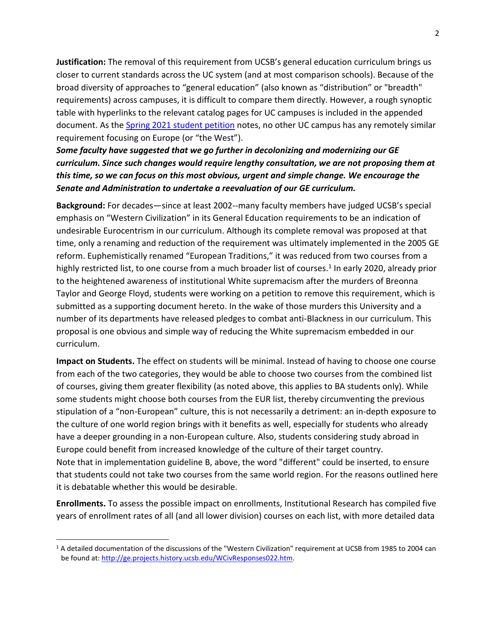**Justification:** The removal of this requirement from UCSB's general education curriculum brings us closer to current standards across the UC system (and at most comparison schools). Because of the broad diversity of approaches to "general education" (also known as "distribution" or "breadth" requirements) across campuses, it is difficult to compare them directly. However, a rough synoptic table with hyperlinks to the relevant catalog pages for UC campuses is included in the appended document. As the [Spring 2021 student petition](https://docs.google.com/document/d/1bRbifHBX8PdhTTWkmbD-AoL55S35TWe4mjn2gE2mEvk/edit) notes, no other UC campus has any remotely similar requirement focusing on Europe (or "the West").

*Some faculty have suggested that we go further in decolonizing and modernizing our GE curriculum. Since such changes would require lengthy consultation, we are not proposing them at this time, so we can focus on this most obvious, urgent and simple change. We encourage the Senate and Administration to undertake a reevaluation of our GE curriculum.*

**Background:** For decades—since at least 2002--many faculty members have judged UCSB's special emphasis on "Western Civilization" in its General Education requirements to be an indication of undesirable Eurocentrism in our curriculum. Although its complete removal was proposed at that time, only a renaming and reduction of the requirement was ultimately implemented in the 2005 GE reform. Euphemistically renamed "European Traditions," it was reduced from two courses from a highly restricted list, to one course from a much broader list of courses.<sup>1</sup> In early 2020, already prior to the heightened awareness of institutional White supremacism after the murders of Breonna Taylor and George Floyd, students were working on a petition to remove this requirement, which is submitted as a supporting document hereto. In the wake of those murders this University and a number of its departments have released pledges to combat anti-Blackness in our curriculum. This proposal is one obvious and simple way of reducing the White supremacism embedded in our curriculum.

**Impact on Students.** The effect on students will be minimal. Instead of having to choose one course from each of the two categories, they would be able to choose two courses from the combined list of courses, giving them greater flexibility (as noted above, this applies to BA students only). While some students might choose both courses from the EUR list, thereby circumventing the previous stipulation of a "non-European" culture, this is not necessarily a detriment: an in-depth exposure to the culture of one world region brings with it benefits as well, especially for students who already have a deeper grounding in a non-European culture. Also, students considering study abroad in Europe could benefit from increased knowledge of the culture of their target country. Note that in implementation guideline B, above, the word "different" could be inserted, to ensure that students could not take two courses from the same world region. For the reasons outlined here it is debatable whether this would be desirable.

**Enrollments.** To assess the possible impact on enrollments, Institutional Research has compiled five years of enrollment rates of all (and all lower division) courses on each list, with more detailed data

 $\overline{\phantom{a}}$ 

 $1$  A detailed documentation of the discussions of the "Western Civilization" requirement at UCSB from 1985 to 2004 can be found at: [http://ge.projects.history.ucsb.edu/WCivResponses022.htm.](http://ge.projects.history.ucsb.edu/WCivResponses022.htm)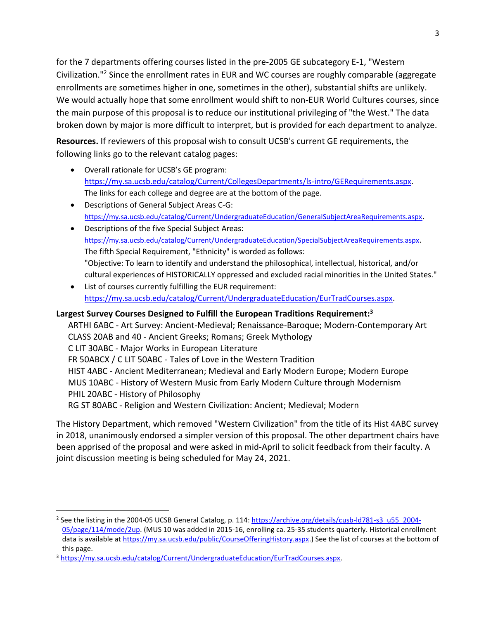for the 7 departments offering courses listed in the pre-2005 GE subcategory E-1, "Western Civilization." <sup>2</sup> Since the enrollment rates in EUR and WC courses are roughly comparable (aggregate enrollments are sometimes higher in one, sometimes in the other), substantial shifts are unlikely. We would actually hope that some enrollment would shift to non-EUR World Cultures courses, since the main purpose of this proposal is to reduce our institutional privileging of "the West." The data broken down by major is more difficult to interpret, but is provided for each department to analyze.

**Resources.** If reviewers of this proposal wish to consult UCSB's current GE requirements, the following links go to the relevant catalog pages:

- Overall rationale for UCSB's GE program: [https://my.sa.ucsb.edu/catalog/Current/CollegesDepartments/ls-intro/GERequirements.aspx.](https://my.sa.ucsb.edu/catalog/Current/CollegesDepartments/ls-intro/GERequirements.aspx) The links for each college and degree are at the bottom of the page.
- Descriptions of General Subject Areas C-G: <https://my.sa.ucsb.edu/catalog/Current/UndergraduateEducation/GeneralSubjectAreaRequirements.aspx>.
- Descriptions of the five Special Subject Areas: <https://my.sa.ucsb.edu/catalog/Current/UndergraduateEducation/SpecialSubjectAreaRequirements.aspx>. The fifth Special Requirement, "Ethnicity" is worded as follows: "Objective: To learn to identify and understand the philosophical, intellectual, historical, and/or cultural experiences of HISTORICALLY oppressed and excluded racial minorities in the United States."
- List of courses currently fulfilling the EUR requirement: [https://my.sa.ucsb.edu/catalog/Current/UndergraduateEducation/EurTradCourses.aspx.](https://my.sa.ucsb.edu/catalog/Current/UndergraduateEducation/EurTradCourses.aspx)

## **Largest Survey Courses Designed to Fulfill the European Traditions Requirement:<sup>3</sup>**

ARTHI 6ABC - Art Survey: Ancient-Medieval; Renaissance-Baroque; Modern-Contemporary Art CLASS 20AB and 40 - Ancient Greeks; Romans; Greek Mythology C LIT 30ABC - Major Works in European Literature FR 50ABCX / C LIT 50ABC - Tales of Love in the Western Tradition HIST 4ABC - Ancient Mediterranean; Medieval and Early Modern Europe; Modern Europe MUS 10ABC - History of Western Music from Early Modern Culture through Modernism PHIL 20ABC - History of Philosophy RG ST 80ABC - Religion and Western Civilization: Ancient; Medieval; Modern

The History Department, which removed "Western Civilization" from the title of its Hist 4ABC survey in 2018, unanimously endorsed a simpler version of this proposal. The other department chairs have been apprised of the proposal and were asked in mid-April to solicit feedback from their faculty. A joint discussion meeting is being scheduled for May 24, 2021.

 $\overline{\phantom{a}}$ 

<sup>&</sup>lt;sup>2</sup> See the listing in the 2004-05 UCSB General Catalog, p. 114: [https://archive.org/details/cusb-ld781-s3\\_u55\\_2004-](https://archive.org/details/cusb-ld781-s3_u55_2004-05/page/114/mode/2up) [05/page/114/mode/2up.](https://archive.org/details/cusb-ld781-s3_u55_2004-05/page/114/mode/2up) (MUS 10 was added in 2015-16, enrolling ca. 25-35 students quarterly. Historical enrollment data is available at [https://my.sa.ucsb.edu/public/CourseOfferingHistory.aspx.\)](https://my.sa.ucsb.edu/public/CourseOfferingHistory.aspx) See the list of courses at the bottom of this page.

<sup>&</sup>lt;sup>3</sup> [https://my.sa.ucsb.edu/catalog/Current/UndergraduateEducation/EurTradCourses.aspx.](https://my.sa.ucsb.edu/catalog/Current/UndergraduateEducation/EurTradCourses.aspx)